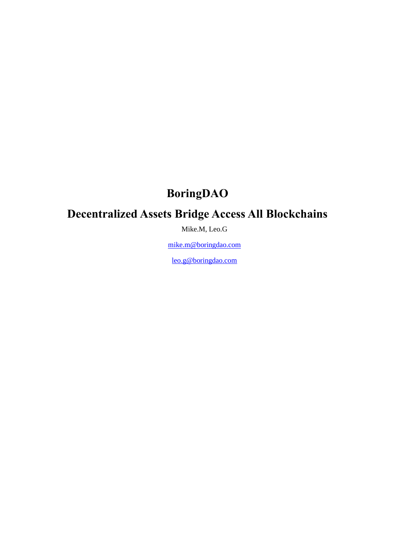# **BoringDAO**

# **Decentralized Assets Bridge Access All Blockchains**

Mike.M, Leo.G

[mike.m@boringdao.com](mailto:mike.m@boringdao.com)

[leo.g@boringdao.com](mailto:leo.g@boringdao.com)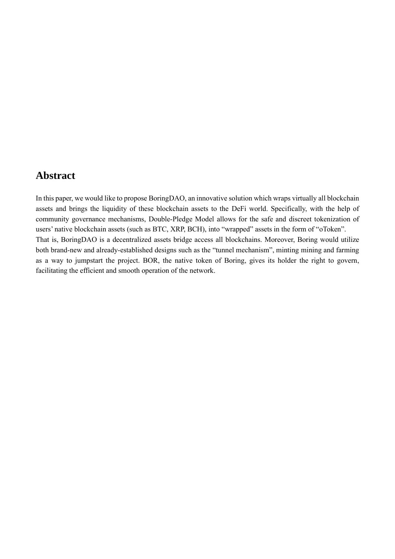### <span id="page-1-0"></span>**Abstract**

In this paper, we would like to propose BoringDAO, an innovative solution which wraps virtually all blockchain assets and brings the liquidity of these blockchain assets to the DeFi world. Specifically, with the help of community governance mechanisms, Double-Pledge Model allows for the safe and discreet tokenization of users' native blockchain assets (such as BTC, XRP, BCH), into "wrapped" assets in the form of "oToken". That is, BoringDAO is a decentralized assets bridge access all blockchains. Moreover, Boring would utilize both brand-new and already-established designs such as the "tunnel mechanism", minting mining and farming as a way to jumpstart the project. BOR, the native token of Boring, gives its holder the right to govern, facilitating the efficient and smooth operation of the network.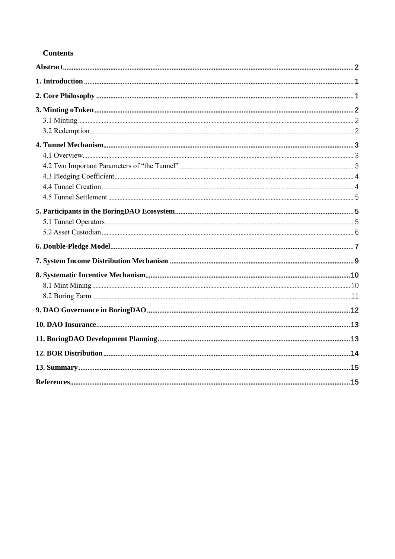### **Contents**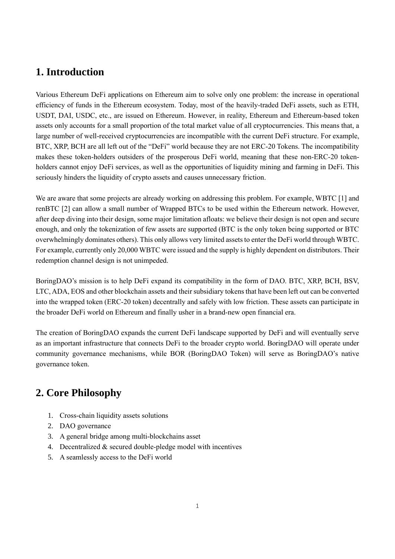### <span id="page-3-0"></span>**1. Introduction**

Various Ethereum DeFi applications on Ethereum aim to solve only one problem: the increase in operational efficiency of funds in the Ethereum ecosystem. Today, most of the heavily-traded DeFi assets, such as ETH, USDT, DAI, USDC, etc., are issued on Ethereum. However, in reality, Ethereum and Ethereum-based token assets only accounts for a small proportion of the total market value of all cryptocurrencies. This means that, a large number of well-received cryptocurrencies are incompatible with the current DeFi structure. For example, BTC, XRP, BCH are all left out of the "DeFi" world because they are not ERC-20 Tokens. The incompatibility makes these token-holders outsiders of the prosperous DeFi world, meaning that these non-ERC-20 tokenholders cannot enjoy DeFi services, as well as the opportunities of liquidity mining and farming in DeFi. This seriously hinders the liquidity of crypto assets and causes unnecessary friction.

We are aware that some projects are already working on addressing this problem. For example, WBTC [1] and renBTC [2] can allow a small number of Wrapped BTCs to be used within the Ethereum network. However, after deep diving into their design, some major limitation afloats: we believe their design is not open and secure enough, and only the tokenization of few assets are supported (BTC is the only token being supported or BTC overwhelmingly dominates others). This only allows very limited assets to enter the DeFi world through WBTC. For example, currently only 20,000 WBTC were issued and the supply is highly dependent on distributors. Their redemption channel design is not unimpeded.

BoringDAO's mission is to help DeFi expand its compatibility in the form of DAO. BTC, XRP, BCH, BSV, LTC, ADA, EOS and other blockchain assets and their subsidiary tokens that have been left out can be converted into the wrapped token (ERC-20 token) decentrally and safely with low friction. These assets can participate in the broader DeFi world on Ethereum and finally usher in a brand-new open financial era.

The creation of BoringDAO expands the current DeFi landscape supported by DeFi and will eventually serve as an important infrastructure that connects DeFi to the broader crypto world. BoringDAO will operate under community governance mechanisms, while BOR (BoringDAO Token) will serve as BoringDAO's native governance token.

# <span id="page-3-1"></span>**2. Core Philosophy**

- 1. Cross-chain liquidity assets solutions
- 2. DAO governance
- 3. A general bridge among multi-blockchains asset
- 4. Decentralized & secured double-pledge model with incentives
- 5. A seamlessly access to the DeFi world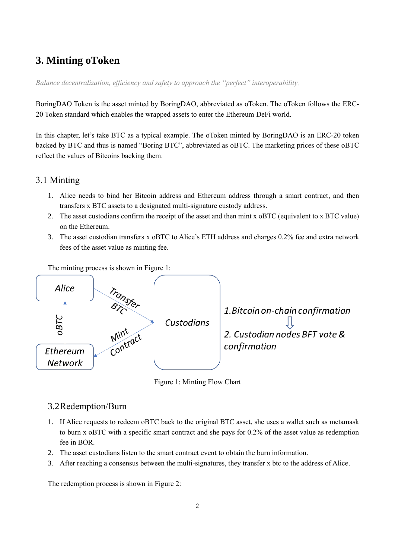### <span id="page-4-0"></span>**3. Minting oToken**

*Balance decentralization, efficiency and safety to approach the "perfect" interoperability*.

BoringDAO Token is the asset minted by BoringDAO, abbreviated as oToken. The oToken follows the ERC-20 Token standard which enables the wrapped assets to enter the Ethereum DeFi world.

In this chapter, let's take BTC as a typical example. The oToken minted by BoringDAO is an ERC-20 token backed by BTC and thus is named "Boring BTC", abbreviated as oBTC. The marketing prices of these oBTC reflect the values of Bitcoins backing them.

#### <span id="page-4-1"></span>3.1 Minting

- 1. Alice needs to bind her Bitcoin address and Ethereum address through a smart contract, and then transfers x BTC assets to a designated multi-signature custody address.
- 2. The asset custodians confirm the receipt of the asset and then mint x oBTC (equivalent to x BTC value) on the Ethereum.
- 3. The asset custodian transfers x oBTC to Alice's ETH address and charges 0.2% fee and extra network fees of the asset value as minting fee.

The minting process is shown in Figure 1:



Figure 1: Minting Flow Chart

#### <span id="page-4-2"></span>3.2Redemption/Burn

- 1. If Alice requests to redeem oBTC back to the original BTC asset, she uses a wallet such as metamask to burn x oBTC with a specific smart contract and she pays for 0.2% of the asset value as redemption fee in BOR.
- 2. The asset custodians listen to the smart contract event to obtain the burn information.
- 3. After reaching a consensus between the multi-signatures, they transfer x btc to the address of Alice.

The redemption process is shown in Figure 2: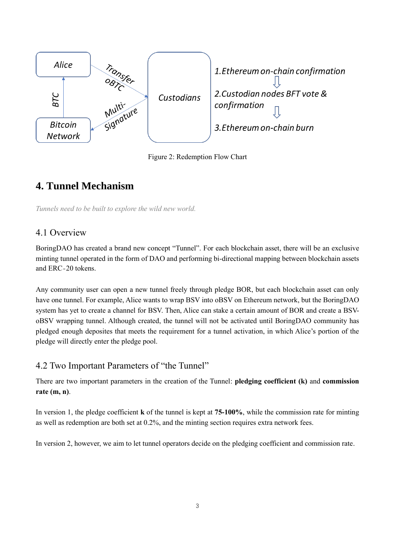

Figure 2: Redemption Flow Chart

## <span id="page-5-0"></span>**4. Tunnel Mechanism**

<span id="page-5-1"></span>*Tunnels need to be built to explore the wild new world.*

### 4.1 Overview

BoringDAO has created a brand new concept "Tunnel". For each blockchain asset, there will be an exclusive minting tunnel operated in the form of DAO and performing bi-directional mapping between blockchain assets and ERC-20 tokens.

Any community user can open a new tunnel freely through pledge BOR, but each blockchain asset can only have one tunnel. For example, Alice wants to wrap BSV into oBSV on Ethereum network, but the BoringDAO system has yet to create a channel for BSV. Then, Alice can stake a certain amount of BOR and create a BSVoBSV wrapping tunnel. Although created, the tunnel will not be activated until BoringDAO community has pledged enough deposites that meets the requirement for a tunnel activation, in which Alice's portion of the pledge will directly enter the pledge pool.

### <span id="page-5-2"></span>4.2 Two Important Parameters of "the Tunnel"

There are two important parameters in the creation of the Tunnel: **pledging coefficient (k)** and **commission rate (m, n)**.

In version 1, the pledge coefficient **k** of the tunnel is kept at **75-100%**, while the commission rate for minting as well as redemption are both set at 0.2%, and the minting section requires extra network fees.

In version 2, however, we aim to let tunnel operators decide on the pledging coefficient and commission rate.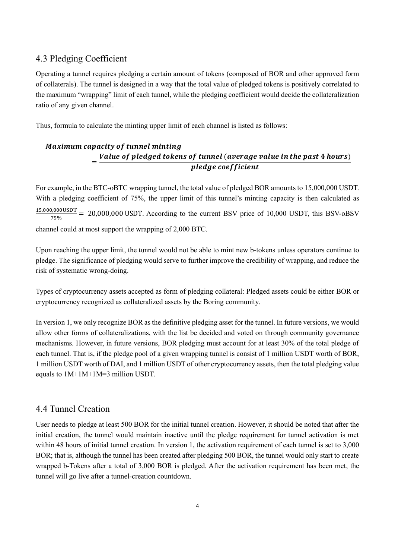### <span id="page-6-0"></span>4.3 Pledging Coefficient

Operating a tunnel requires pledging a certain amount of tokens (composed of BOR and other approved form of collaterals). The tunnel is designed in a way that the total value of pledged tokens is positively correlated to the maximum "wrapping" limit of each tunnel, while the pledging coefficient would decide the collateralization ratio of any given channel.

Thus, formula to calculate the minting upper limit of each channel is listed as follows:

#### **Maximum capacity of tunnel minting** = Value of pledged tokens of tunnel (average value in the past 4 hours) pledge coefficient

For example, in the BTC-oBTC wrapping tunnel, the total value of pledged BOR amounts to 15,000,000 USDT. With a pledging coefficient of 75%, the upper limit of this tunnel's minting capacity is then calculated as 15,000,000USDT  $\frac{75\%}{75\%}$  = 20,000,000 USDT. According to the current BSV price of 10,000 USDT, this BSV-oBSV channel could at most support the wrapping of 2,000 BTC.

Upon reaching the upper limit, the tunnel would not be able to mint new b-tokens unless operators continue to pledge. The significance of pledging would serve to further improve the credibility of wrapping, and reduce the risk of systematic wrong-doing.

Types of cryptocurrency assets accepted as form of pledging collateral: Pledged assets could be either BOR or cryptocurrency recognized as collateralized assets by the Boring community.

In version 1, we only recognize BOR as the definitive pledging asset for the tunnel. In future versions, we would allow other forms of collateralizations, with the list be decided and voted on through community governance mechanisms. However, in future versions, BOR pledging must account for at least 30% of the total pledge of each tunnel. That is, if the pledge pool of a given wrapping tunnel is consist of 1 million USDT worth of BOR, 1 million USDT worth of DAI, and 1 million USDT of other cryptocurrency assets, then the total pledging value equals to 1M+1M+1M=3 million USDT.

### <span id="page-6-1"></span>4.4 Tunnel Creation

User needs to pledge at least 500 BOR for the initial tunnel creation. However, it should be noted that after the initial creation, the tunnel would maintain inactive until the pledge requirement for tunnel activation is met within 48 hours of initial tunnel creation. In version 1, the activation requirement of each tunnel is set to 3,000 BOR; that is, although the tunnel has been created after pledging 500 BOR, the tunnel would only start to create wrapped b-Tokens after a total of 3,000 BOR is pledged. After the activation requirement has been met, the tunnel will go live after a tunnel-creation countdown.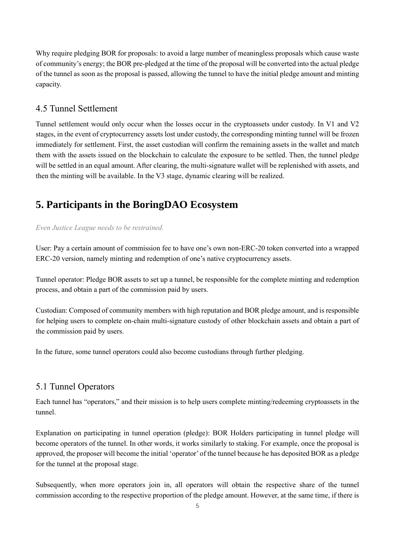Why require pledging BOR for proposals: to avoid a large number of meaningless proposals which cause waste of community's energy; the BOR pre-pledged at the time of the proposal will be converted into the actual pledge of the tunnel as soon as the proposal is passed, allowing the tunnel to have the initial pledge amount and minting capacity.

### <span id="page-7-0"></span>4.5 Tunnel Settlement

Tunnel settlement would only occur when the losses occur in the cryptoassets under custody. In V1 and V2 stages, in the event of cryptocurrency assets lost under custody, the corresponding minting tunnel will be frozen immediately for settlement. First, the asset custodian will confirm the remaining assets in the wallet and match them with the assets issued on the blockchain to calculate the exposure to be settled. Then, the tunnel pledge will be settled in an equal amount. After clearing, the multi-signature wallet will be replenished with assets, and then the minting will be available. In the V3 stage, dynamic clearing will be realized.

# <span id="page-7-1"></span>**5. Participants in the BoringDAO Ecosystem**

#### *Even Justice League needs to be restrained.*

User: Pay a certain amount of commission fee to have one's own non-ERC-20 token converted into a wrapped ERC-20 version, namely minting and redemption of one's native cryptocurrency assets.

Tunnel operator: Pledge BOR assets to set up a tunnel, be responsible for the complete minting and redemption process, and obtain a part of the commission paid by users.

Custodian: Composed of community members with high reputation and BOR pledge amount, and is responsible for helping users to complete on-chain multi-signature custody of other blockchain assets and obtain a part of the commission paid by users.

In the future, some tunnel operators could also become custodians through further pledging.

### <span id="page-7-2"></span>5.1 Tunnel Operators

Each tunnel has "operators," and their mission is to help users complete minting/redeeming cryptoassets in the tunnel.

Explanation on participating in tunnel operation (pledge): BOR Holders participating in tunnel pledge will become operators of the tunnel. In other words, it works similarly to staking. For example, once the proposal is approved, the proposer will become the initial 'operator'of the tunnel because he has deposited BOR as a pledge for the tunnel at the proposal stage.

Subsequently, when more operators join in, all operators will obtain the respective share of the tunnel commission according to the respective proportion of the pledge amount. However, at the same time, if there is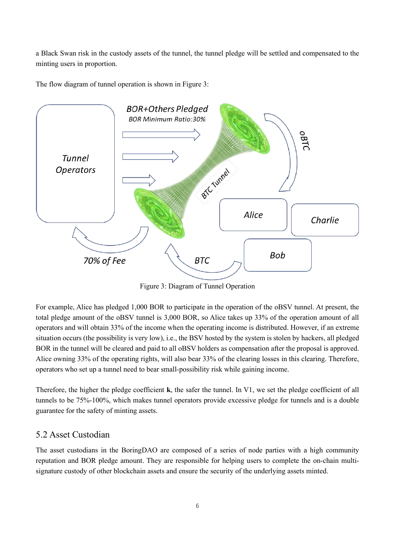a Black Swan risk in the custody assets of the tunnel, the tunnel pledge will be settled and compensated to the minting users in proportion.

The flow diagram of tunnel operation is shown in Figure 3:



Figure 3: Diagram of Tunnel Operation

For example, Alice has pledged 1,000 BOR to participate in the operation of the oBSV tunnel. At present, the total pledge amount of the oBSV tunnel is 3,000 BOR, so Alice takes up 33% of the operation amount of all operators and will obtain 33% of the income when the operating income is distributed. However, if an extreme situation occurs (the possibility is very low), i.e., the BSV hosted by the system is stolen by hackers, all pledged BOR in the tunnel will be cleared and paid to all oBSV holders as compensation after the proposal is approved. Alice owning 33% of the operating rights, will also bear 33% of the clearing losses in this clearing. Therefore, operators who set up a tunnel need to bear small-possibility risk while gaining income.

Therefore, the higher the pledge coefficient **k**, the safer the tunnel. In V1, we set the pledge coefficient of all tunnels to be 75%-100%, which makes tunnel operators provide excessive pledge for tunnels and is a double guarantee for the safety of minting assets.

#### <span id="page-8-0"></span>5.2 Asset Custodian

The asset custodians in the BoringDAO are composed of a series of node parties with a high community reputation and BOR pledge amount. They are responsible for helping users to complete the on-chain multisignature custody of other blockchain assets and ensure the security of the underlying assets minted.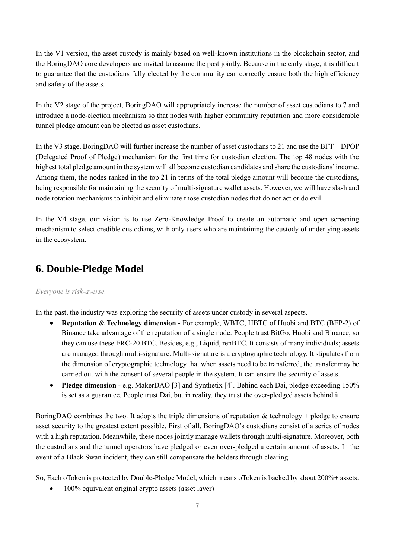In the V1 version, the asset custody is mainly based on well-known institutions in the blockchain sector, and the BoringDAO core developers are invited to assume the post jointly. Because in the early stage, it is difficult to guarantee that the custodians fully elected by the community can correctly ensure both the high efficiency and safety of the assets.

In the V2 stage of the project, BoringDAO will appropriately increase the number of asset custodians to 7 and introduce a node-election mechanism so that nodes with higher community reputation and more considerable tunnel pledge amount can be elected as asset custodians.

In the V3 stage, BoringDAO will further increase the number of asset custodians to 21 and use the BFT + DPOP (Delegated Proof of Pledge) mechanism for the first time for custodian election. The top 48 nodes with the highest total pledge amount in the system will all become custodian candidates and share the custodians'income. Among them, the nodes ranked in the top 21 in terms of the total pledge amount will become the custodians, being responsible for maintaining the security of multi-signature wallet assets. However, we will have slash and node rotation mechanisms to inhibit and eliminate those custodian nodes that do not act or do evil.

In the V4 stage, our vision is to use Zero-Knowledge Proof to create an automatic and open screening mechanism to select credible custodians, with only users who are maintaining the custody of underlying assets in the ecosystem.

### <span id="page-9-0"></span>**6. Double-Pledge Model**

#### *Everyone is risk-averse.*

In the past, the industry was exploring the security of assets under custody in several aspects.

- **Reputation & Technology dimension** For example, WBTC, HBTC of Huobi and BTC (BEP-2) of Binance take advantage of the reputation of a single node. People trust BitGo, Huobi and Binance, so they can use these ERC-20 BTC. Besides, e.g., Liquid, renBTC. It consists of many individuals; assets are managed through multi-signature. Multi-signature is a cryptographic technology. It stipulates from the dimension of cryptographic technology that when assets need to be transferred, the transfer may be carried out with the consent of several people in the system. It can ensure the security of assets.
- **Pledge dimension** e.g. MakerDAO [3] and Synthetix [4]. Behind each Dai, pledge exceeding 150% is set as a guarantee. People trust Dai, but in reality, they trust the over-pledged assets behind it.

BoringDAO combines the two. It adopts the triple dimensions of reputation & technology + pledge to ensure asset security to the greatest extent possible. First of all, BoringDAO's custodians consist of a series of nodes with a high reputation. Meanwhile, these nodes jointly manage wallets through multi-signature. Moreover, both the custodians and the tunnel operators have pledged or even over-pledged a certain amount of assets. In the event of a Black Swan incident, they can still compensate the holders through clearing.

So, Each oToken is protected by Double-Pledge Model, which means oToken is backed by about 200%+ assets:

• 100% equivalent original crypto assets (asset layer)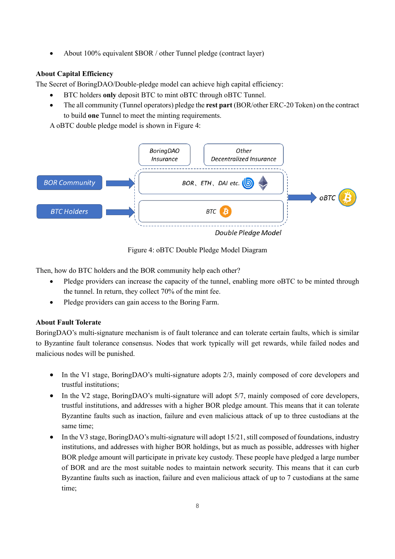• About 100% equivalent \$BOR / other Tunnel pledge (contract layer)

#### **About Capital Efficiency**

The Secret of BoringDAO/Double-pledge model can achieve high capital efficiency:

- BTC holders **only** deposit BTC to mint oBTC through oBTC Tunnel.
- The all community (Tunnel operators) pledge the **rest part** (BOR/other ERC-20 Token) on the contract to build **one** Tunnel to meet the minting requirements.

A oBTC double pledge model is shown in Figure 4:



Figure 4: oBTC Double Pledge Model Diagram

Then, how do BTC holders and the BOR community help each other?

- Pledge providers can increase the capacity of the tunnel, enabling more oBTC to be minted through the tunnel. In return, they collect 70% of the mint fee.
- Pledge providers can gain access to the Boring Farm.

#### **About Fault Tolerate**

BoringDAO's multi-signature mechanism is of fault tolerance and can tolerate certain faults, which is similar to Byzantine fault tolerance consensus. Nodes that work typically will get rewards, while failed nodes and malicious nodes will be punished.

- In the V1 stage, BoringDAO's multi-signature adopts 2/3, mainly composed of core developers and trustful institutions;
- In the V2 stage, BoringDAO's multi-signature will adopt 5/7, mainly composed of core developers, trustful institutions, and addresses with a higher BOR pledge amount. This means that it can tolerate Byzantine faults such as inaction, failure and even malicious attack of up to three custodians at the same time;
- In the V3 stage, BoringDAO's multi-signature will adopt 15/21, still composed of foundations, industry institutions, and addresses with higher BOR holdings, but as much as possible, addresses with higher BOR pledge amount will participate in private key custody. These people have pledged a large number of BOR and are the most suitable nodes to maintain network security. This means that it can curb Byzantine faults such as inaction, failure and even malicious attack of up to 7 custodians at the same time;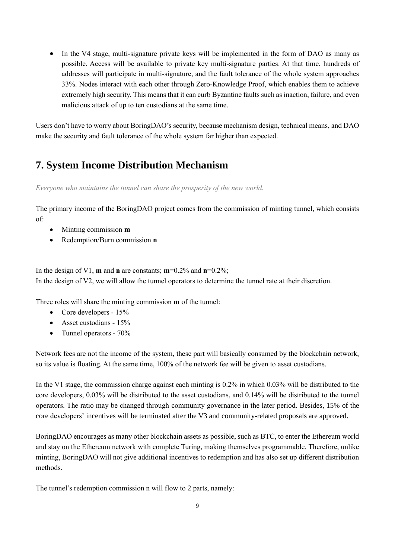• In the V4 stage, multi-signature private keys will be implemented in the form of DAO as many as possible. Access will be available to private key multi-signature parties. At that time, hundreds of addresses will participate in multi-signature, and the fault tolerance of the whole system approaches 33%. Nodes interact with each other through Zero-Knowledge Proof, which enables them to achieve extremely high security. This means that it can curb Byzantine faults such as inaction, failure, and even malicious attack of up to ten custodians at the same time.

Users don't have to worry about BoringDAO's security, because mechanism design, technical means, and DAO make the security and fault tolerance of the whole system far higher than expected.

## <span id="page-11-0"></span>**7. System Income Distribution Mechanism**

*Everyone who maintains the tunnel can share the prosperity of the new world.*

The primary income of the BoringDAO project comes from the commission of minting tunnel, which consists of:

- Minting commission **m**
- Redemption/Burn commission **n**

In the design of V1, **m** and **n** are constants; **m**=0.2% and **n**=0.2%; In the design of V2, we will allow the tunnel operators to determine the tunnel rate at their discretion.

Three roles will share the minting commission **m** of the tunnel:

- Core developers 15%
- Asset custodians 15%
- Tunnel operators 70%

Network fees are not the income of the system, these part will basically consumed by the blockchain network, so its value is floating. At the same time, 100% of the network fee will be given to asset custodians.

In the V1 stage, the commission charge against each minting is 0.2% in which 0.03% will be distributed to the core developers, 0.03% will be distributed to the asset custodians, and 0.14% will be distributed to the tunnel operators. The ratio may be changed through community governance in the later period. Besides, 15% of the core developers' incentives will be terminated after the V3 and community-related proposals are approved.

BoringDAO encourages as many other blockchain assets as possible, such as BTC, to enter the Ethereum world and stay on the Ethereum network with complete Turing, making themselves programmable. Therefore, unlike minting, BoringDAO will not give additional incentives to redemption and has also set up different distribution methods.

The tunnel's redemption commission n will flow to 2 parts, namely: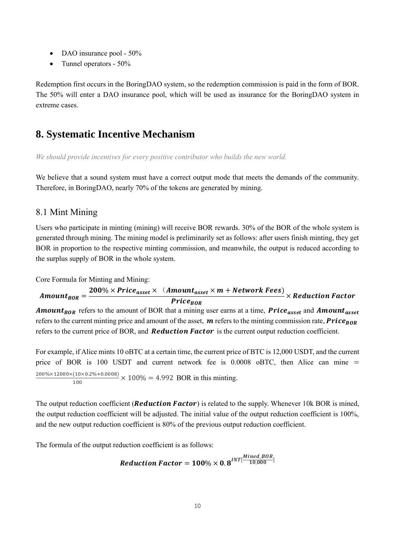- DAO insurance pool 50%
- Tunnel operators 50%

Redemption first occurs in the BoringDAO system, so the redemption commission is paid in the form of BOR. The 50% will enter a DAO insurance pool, which will be used as insurance for the BoringDAO system in extreme cases.

### <span id="page-12-0"></span>**8. Systematic Incentive Mechanism**

*We should provide incentives for every positive contributor who builds the new world.*

We believe that a sound system must have a correct output mode that meets the demands of the community. Therefore, in BoringDAO, nearly 70% of the tokens are generated by mining.

#### <span id="page-12-1"></span>8.1 Mint Mining

Users who participate in minting (mining) will receive BOR rewards. 30% of the BOR of the whole system is generated through mining. The mining model is preliminarily set as follows: after users finish minting, they get BOR in proportion to the respective minting commission, and meanwhile, the output is reduced according to the surplus supply of BOR in the whole system.

Core Formula for Minting and Mining:

$$
Amount_{BOR} = \frac{200\% \times Price_{asset} \times (Amount_{asset} \times m + Network Fees)}{Price_{BOR}} \times Reduction\ Factor
$$

**Amount**<sub>BOR</sub> refers to the amount of BOR that a mining user earns at a time, **Price**<sub>asset</sub> and **Amount**<sub>asset</sub> refers to the current minting price and amount of the asset,  $\bm{m}$  refers to the minting commission rate,  $\bm{Price}_{\bm{ROR}}$ refers to the current price of BOR, and **Reduction Factor** is the current output reduction coefficient.

For example, if Alice mints 10 oBTC at a certain time, the current price of BTC is 12,000 USDT, and the current price of BOR is 100 USDT and current network fee is  $0.0008$  oBTC, then Alice can mine  $=$ 200%×12000×(10×0.2%+0.0008)  $\frac{(10 \times 0.2 \times 0 + 0.0006)}{100} \times 100\% = 4.992$  BOR in this minting.

The output reduction coefficient (**Reduction Factor**) is related to the supply. Whenever  $10k$  BOR is mined, the output reduction coefficient will be adjusted. The initial value of the output reduction coefficient is 100%, and the new output reduction coefficient is 80% of the previous output reduction coefficient.

The formula of the output reduction coefficient is as follows:

Reduction Factor =  $\textbf{100\%}\times \textbf{0.8}^{INT}[\frac{Mined\_BOR}{10,000}]$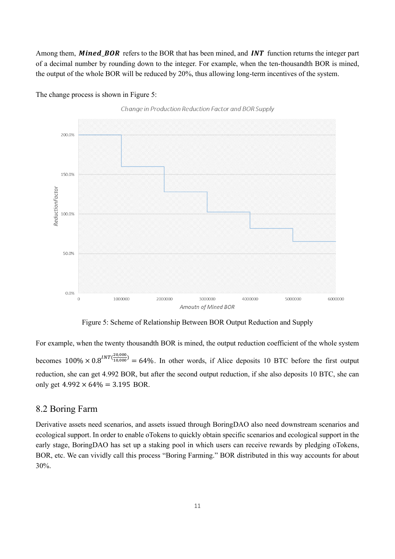Among them, **Mined BOR** refers to the BOR that has been mined, and **INT** function returns the integer part of a decimal number by rounding down to the integer. For example, when the ten-thousandth BOR is mined, the output of the whole BOR will be reduced by 20%, thus allowing long-term incentives of the system.







Figure 5: Scheme of Relationship Between BOR Output Reduction and Supply

For example, when the twenty thousandth BOR is mined, the output reduction coefficient of the whole system becomes  $100\% \times 0.8^{INT(\frac{20,000}{10,000})}$  $\frac{10,000}{10,000}$  = 64%. In other words, if Alice deposits 10 BTC before the first output reduction, she can get 4.992 BOR, but after the second output reduction, if she also deposits 10 BTC, she can only get  $4.992 \times 64\% = 3.195$  BOR.

#### <span id="page-13-0"></span>8.2 Boring Farm

Derivative assets need scenarios, and assets issued through BoringDAO also need downstream scenarios and ecological support. In order to enable oTokens to quickly obtain specific scenarios and ecological support in the early stage, BoringDAO has set up a staking pool in which users can receive rewards by pledging oTokens, BOR, etc. We can vividly call this process "Boring Farming." BOR distributed in this way accounts for about 30%.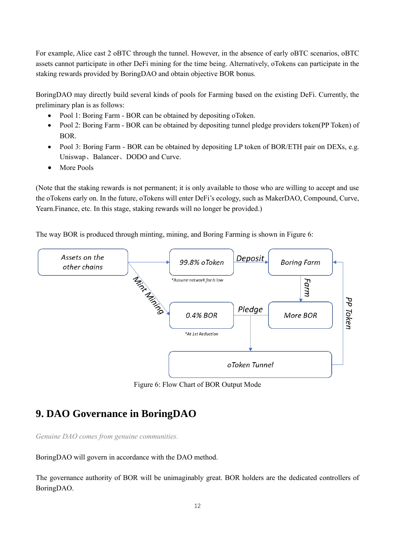For example, Alice cast 2 oBTC through the tunnel. However, in the absence of early oBTC scenarios, oBTC assets cannot participate in other DeFi mining for the time being. Alternatively, oTokens can participate in the staking rewards provided by BoringDAO and obtain objective BOR bonus.

BoringDAO may directly build several kinds of pools for Farming based on the existing DeFi. Currently, the preliminary plan is as follows:

- Pool 1: Boring Farm BOR can be obtained by depositing oToken.
- Pool 2: Boring Farm BOR can be obtained by depositing tunnel pledge providers token(PP Token) of BOR.
- Pool 3: Boring Farm BOR can be obtained by depositing LP token of BOR/ETH pair on DEXs, e.g. Uniswap、Balancer、DODO and Curve.
- More Pools

(Note that the staking rewards is not permanent; it is only available to those who are willing to accept and use the oTokens early on. In the future, oTokens will enter DeFi's ecology, such as MakerDAO, Compound, Curve, Yearn.Finance, etc. In this stage, staking rewards will no longer be provided.)

The way BOR is produced through minting, mining, and Boring Farming is shown in Figure 6:



Figure 6: Flow Chart of BOR Output Mode

### <span id="page-14-0"></span>**9. DAO Governance in BoringDAO**

*Genuine DAO comes from genuine communities.*

BoringDAO will govern in accordance with the DAO method.

The governance authority of BOR will be unimaginably great. BOR holders are the dedicated controllers of BoringDAO.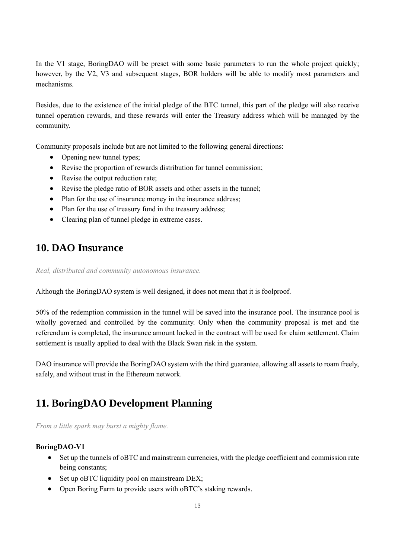In the V1 stage, BoringDAO will be preset with some basic parameters to run the whole project quickly; however, by the V2, V3 and subsequent stages, BOR holders will be able to modify most parameters and mechanisms.

Besides, due to the existence of the initial pledge of the BTC tunnel, this part of the pledge will also receive tunnel operation rewards, and these rewards will enter the Treasury address which will be managed by the community.

Community proposals include but are not limited to the following general directions:

- Opening new tunnel types;
- Revise the proportion of rewards distribution for tunnel commission;
- Revise the output reduction rate;
- Revise the pledge ratio of BOR assets and other assets in the tunnel;
- Plan for the use of insurance money in the insurance address;
- Plan for the use of treasury fund in the treasury address;
- <span id="page-15-0"></span>• Clearing plan of tunnel pledge in extreme cases.

### **10. DAO Insurance**

*Real, distributed and community autonomous insurance.*

Although the BoringDAO system is well designed, it does not mean that it is foolproof.

50% of the redemption commission in the tunnel will be saved into the insurance pool. The insurance pool is wholly governed and controlled by the community. Only when the community proposal is met and the referendum is completed, the insurance amount locked in the contract will be used for claim settlement. Claim settlement is usually applied to deal with the Black Swan risk in the system.

<span id="page-15-1"></span>DAO insurance will provide the BoringDAO system with the third guarantee, allowing all assets to roam freely, safely, and without trust in the Ethereum network.

### **11. BoringDAO Development Planning**

*From a little spark may burst a mighty flame.*

#### **BoringDAO-V1**

- Set up the tunnels of oBTC and mainstream currencies, with the pledge coefficient and commission rate being constants;
- Set up oBTC liquidity pool on mainstream DEX;
- Open Boring Farm to provide users with oBTC's staking rewards.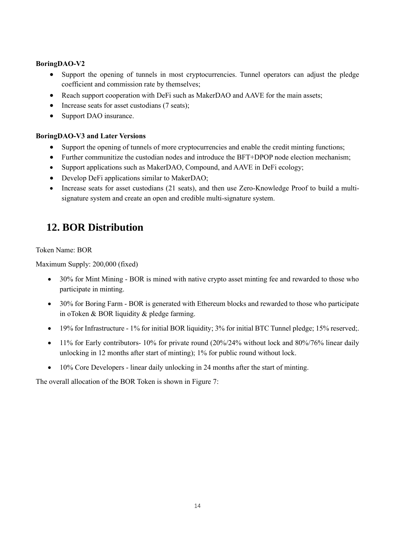#### **BoringDAO-V2**

- Support the opening of tunnels in most cryptocurrencies. Tunnel operators can adjust the pledge coefficient and commission rate by themselves;
- Reach support cooperation with DeFi such as MakerDAO and AAVE for the main assets;
- Increase seats for asset custodians (7 seats);
- Support DAO insurance.

#### **BoringDAO-V3 and Later Versions**

- Support the opening of tunnels of more cryptocurrencies and enable the credit minting functions;
- Further communitize the custodian nodes and introduce the BFT+DPOP node election mechanism;
- Support applications such as MakerDAO, Compound, and AAVE in DeFi ecology;
- Develop DeFi applications similar to MakerDAO;
- Increase seats for asset custodians (21 seats), and then use Zero-Knowledge Proof to build a multisignature system and create an open and credible multi-signature system.

## <span id="page-16-0"></span>**12. BOR Distribution**

Token Name: BOR

Maximum Supply: 200,000 (fixed)

- 30% for Mint Mining BOR is mined with native crypto asset minting fee and rewarded to those who participate in minting.
- 30% for Boring Farm BOR is generated with Ethereum blocks and rewarded to those who participate in oToken & BOR liquidity & pledge farming.
- 19% for Infrastructure 1% for initial BOR liquidity; 3% for initial BTC Tunnel pledge; 15% reserved;.
- 11% for Early contributors- 10% for private round (20%/24% without lock and 80%/76% linear daily unlocking in 12 months after start of minting); 1% for public round without lock.
- 10% Core Developers linear daily unlocking in 24 months after the start of minting.

The overall allocation of the BOR Token is shown in Figure 7: